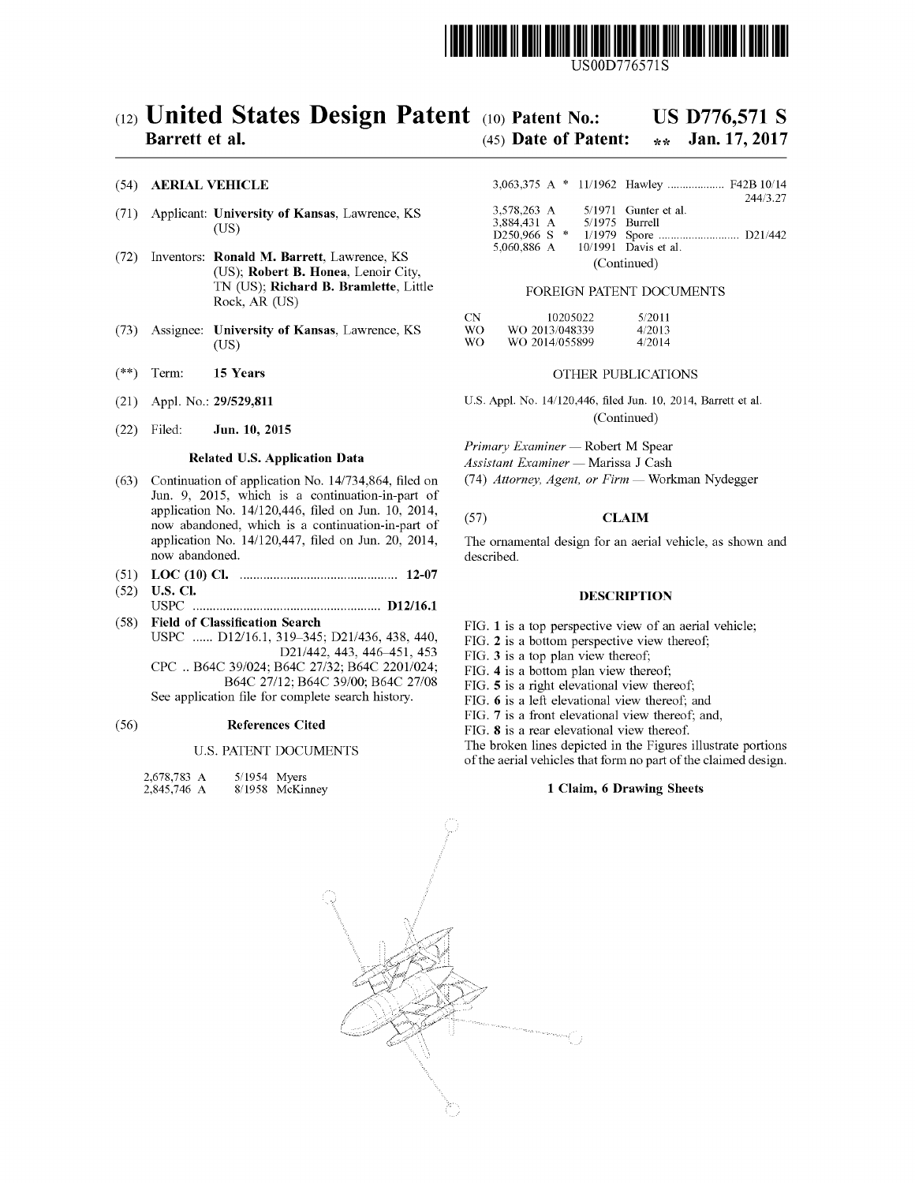

USOOD776571S

# (12) United States Design Patent (10) Patent No.:<br>Barrett et al. (45) Date of Pate

# US D776,571 S<br>\*\* Jan. 17, 2017

## $(45)$  Date of Patent:

### (54) AERIAL VEHICLE

- (71) Applicant: University of Kansas, Lawrence, KS  $(US)$ (US)  $3,884,431 \text{ A}$   $5/1975 \text{ Burrell}$ <br>(US)  $3,884,431 \text{ A}$   $5/1975 \text{ Burrell}$
- (72) Inventors: **Ronald M. Barrett**, Lawrence, KS (US); **Robert B. Honea**, Lenoir City, (Continued) (Continued) **CONTINUES** (Continued) **CONTINUES EXECUTED CONTINUES** Rock, AR (US)
- (73) Assignee: University of Kansas, Lawrence, KS  $(US)$ (US)  $\sqrt{6}$  WO WO 2014/055899 4/2014
- (\*\*) Term: 15 Years OTHER PUBLICATIONS
- 
- $(22)$  Filed: **Jun. 10, 2015** (Continued)

- (63) Continuation of application No.  $14/734,864$ , filed on Jun. 9, 2015, which is a continuation-in-part of application No. 14/120,446, filed on Jun. 10, 2014, application No.  $14/120,440$ , lied on Jun. 10, 2014, (57) CLAIM<br>now abandoned, which is a continuation-in-part of application No.  $14/120,447$ , filed on Jun. 20, 2014, The ornamental design for an aeri application No. 14/120,447, filed on Jun. 20, 2014, The ornamental design for an aerial vehicle, as shown and now abandoned.
- (51) LOC (10) Cl. ............................................... 12-07
- (52) U.S. Cl. DESCRIPTION USPC ........................................................ D12/16.1
- (58) Field of Classification Search FIG. 1 is a top perspective view of an aerial vehicle;<br>USPC ...... D12/16.1, 319–345; D21/436, 438, 440, FIG. 2 is a hottom nersnective view thereof 319–345; D21/436, 438, 440, FIG. 2 is a bottom perspective view thereof; D21/442, 443, 446–451, 453 FIG. 3 is a top plan view thereof: CPC. B64C 39/024; B64C 27/32; B64C 2201/024;<br>B64C 27/12; B64C 27/08 FIG. 4 is a bottom plan view thereof;<br>FIG. 5 is a right elevational view there

B64C 27/12; B64C 39/00; B64C 27/08 FIG. 5 is a right elevational view thereof;<br>See application file for complete search history. FIG. 6 is a left elevational view thereof;

## (56) **References Cited** FIG. 8 is a rear elevational view thereof.

## U.S. PATENT DOCUMENTS

| 2,678,783 A | $5/1954$ Myers  |
|-------------|-----------------|
| 2,845,746 A | 8/1958 McKinney |

|              | 3,063,375 A * 11/1962 Hawley  F42B 10/14 |
|--------------|------------------------------------------|
|              | 244/3.27                                 |
| 3.578.263 A  | $5/1971$ Gunter et al.                   |
| 3.884.431 A  | $5/1975$ Burrell                         |
| D250,966 S * |                                          |
| 5.060.886 A  | 10/1991 Davis et al.                     |

### FOREIGN PATENT DOCUMENTS

| CΝ | 10205022       | 5/2011 |
|----|----------------|--------|
| WΩ | WO 2013/048339 | 4/2013 |
| wο | WO 2014/055899 | 4/2014 |

(21) Appl. No.: 29/529,811 U.S. Appl. No. 14/120,446, filed Jun. 10, 2014, Barrett et al.

**Primary Examiner — Robert M Spear<br>Related U.S. Application Data** *Assistant Examiner* — Marissa I Cash

Assistant Examiner — Marissa J Cash<br>(74) Attorney, Agent, or Firm — Workman Nydegger

FIG. 3 is a top plan view thereof;

FIG. 6 is a left elevational view thereof; and

FIG. 7 is a front elevational view thereof, and,

The broken lines depicted in the Figures illustrate portions of the aerial vehicles that form no part of the claimed design.

## 1 Claim, 6 Drawing Sheets

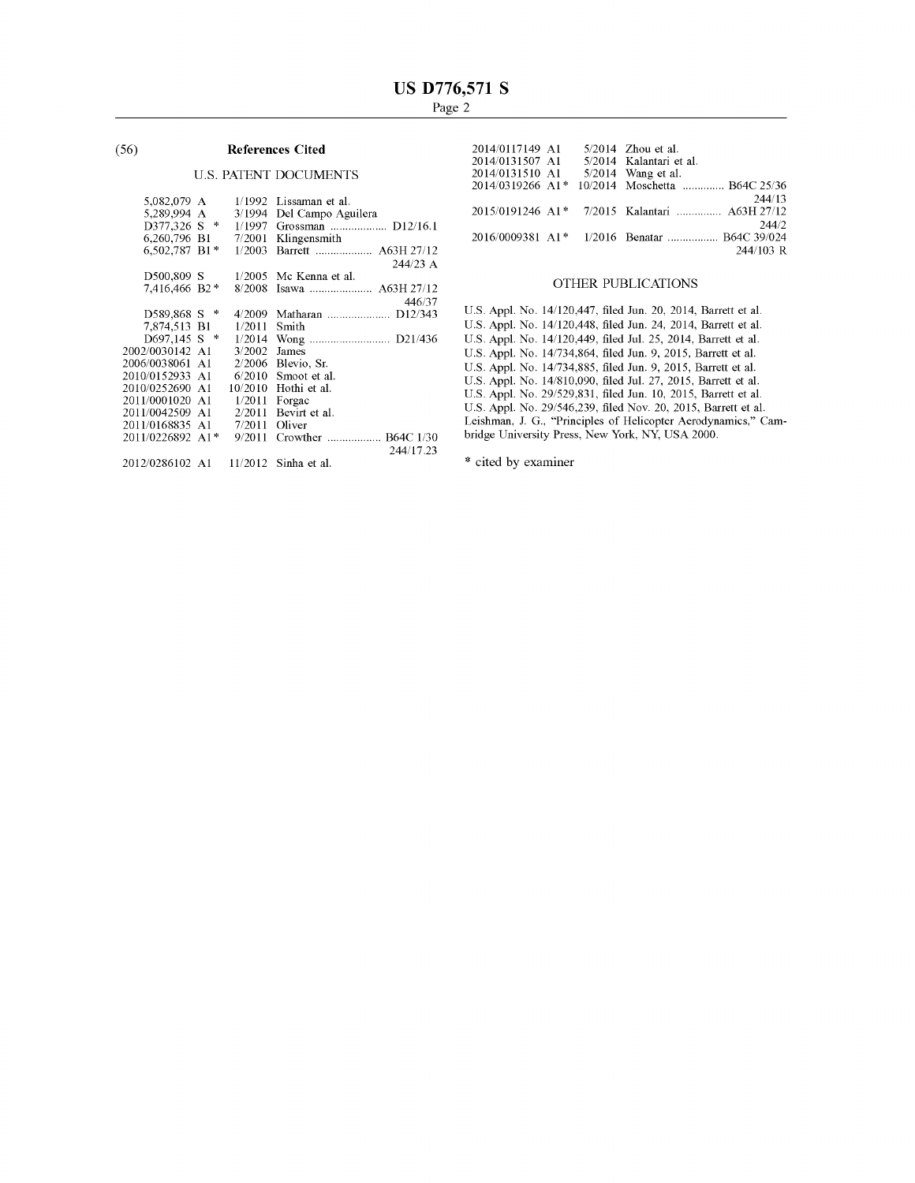### (56) References Cited

## U.S. PATENT DOCUMENTS

| 5,082,079 A      | 1/1992  | Lissaman et al.     |
|------------------|---------|---------------------|
| 5,289,994 A      | 3/1994  | Del Campo Aguilera  |
| D377.326 S *     | 1/1997  | Grossman  D12/16.1  |
| 6.260,796 B1     | 7/2001  | Klingensmith        |
| 6,502,787 B1*    | 1/2003  | Barrett  A63H 27/12 |
|                  |         | 244/23 A            |
| D500,809 S       | 1/2005  | Mc Kenna et al.     |
| 7.416.466 B2 *   | 8/2008  |                     |
|                  |         | 446/37              |
| $D589.868 S$ *   | 4/2009  |                     |
| 7.874.513 B1     | 1/2011  | Smith               |
| $D697,145$ S *   | 1/2014  |                     |
| 2002/0030142 A1  | 3/2002  | James               |
| 2006/0038061 A1  | 2/2006  | Blevio. Sr.         |
| 2010/0152933 A1  | 6/2010  | Smoot et al.        |
| 2010/0252690 A1  | 10/2010 | Hothi et al.        |
| 2011/0001020 A1  | 1/2011  | Forgac              |
| 2011/0042509 A1  | 2/2011  | Bevirt et al.       |
| 2011/0168835 A1  | 7/2011  | Oliver              |
| 2011/0226892 A1* | 9/2011  | Crowther  B64C 1/30 |
|                  |         | 244/17.23           |
| 2012/0286102 A1  | 11/2012 | Sinha et al.        |

| 2014/0117149 A1                 | $5/2014$ Zhou et al.                                     |
|---------------------------------|----------------------------------------------------------|
| 2014/0131507 A1                 | 5/2014 Kalantari et al.                                  |
| 2014/0131510 A1                 | $5/2014$ Wang et al.                                     |
| $2014/0319266$ A <sub>1</sub> * | 10/2014 Moschetta  B64C 25/36                            |
|                                 | 244/13                                                   |
|                                 | 2015/0191246 A1* 7/2015 Kalantari  A63H 27/12            |
|                                 | 244/2                                                    |
|                                 | 2016/0009381 A1 <sup>*</sup> 1/2016 Benatar  B64C 39/024 |
|                                 | 244/103 R                                                |

## OTHER PUBLICATIONS

U.S. Appl. U.S. Appl. No. 14/120,447, filed Jun. 20, 2014, Barrett et al.<br>U.S. Appl. No. 14/120,448, filed Jun. 24, 2014, Barrett et al. U.S. Appl. 14/120,449, filed Jul. 25, 2014, Barrett et al. U.S. Appl. 14/734,864, filed Jun. 9, 2015, Barrett et al. U.S. Appl. U.S. Appl. U.S. Appl. U.S. Appl.  $14/734,883$ , filed Jun. 9, 2015, Barrett et al.  $14/810,090$ , filed Jul. 27, 2015, Barrett et al. No. 29/529,831, filed Jun. 10, 2015, Barrett et al. U.S. Appl. No. 29/546,239, filed Nov. 20, 2015, Barrett et al.<br>Leishman, J. G., "Principles of Helicopter Aerodynamics," Cambridge University Press, New York, NY, USA 2000.

\* cited by examiner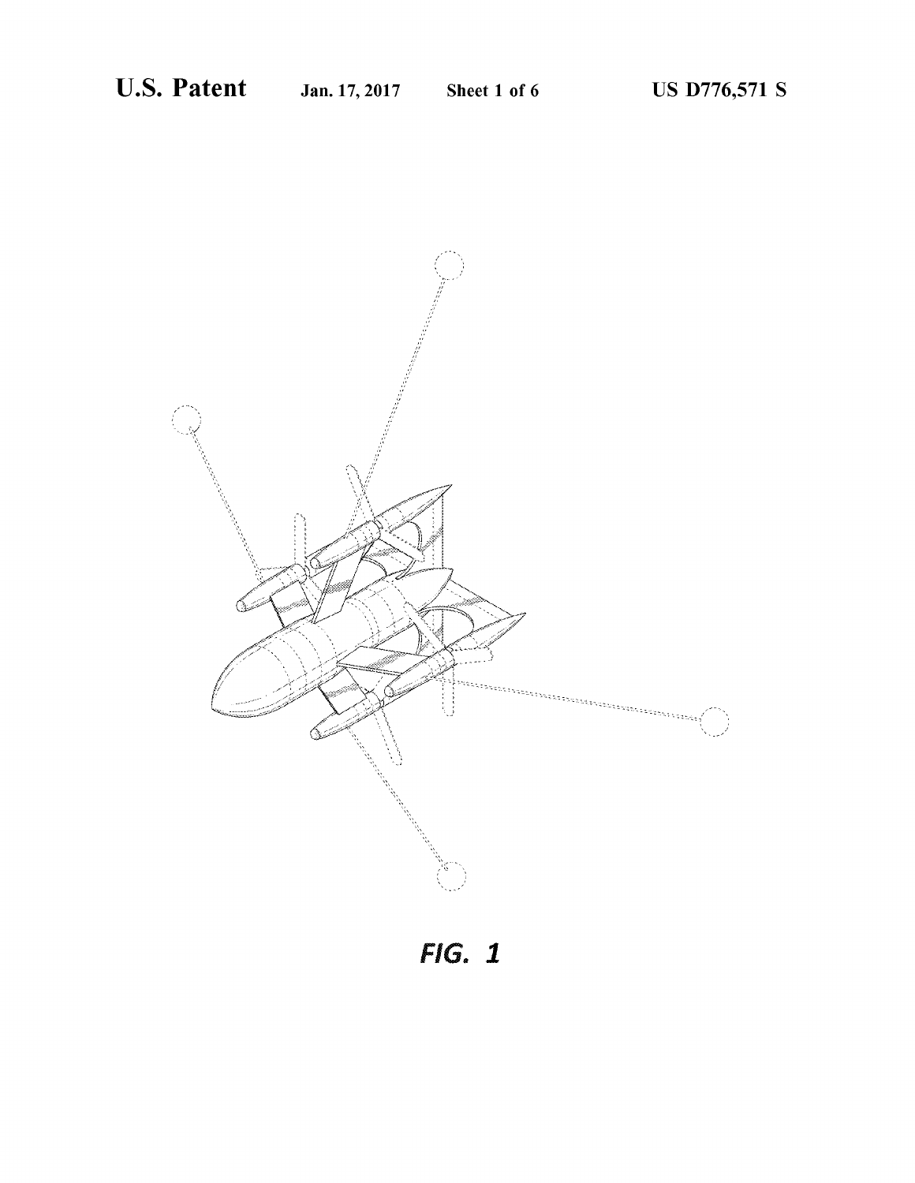

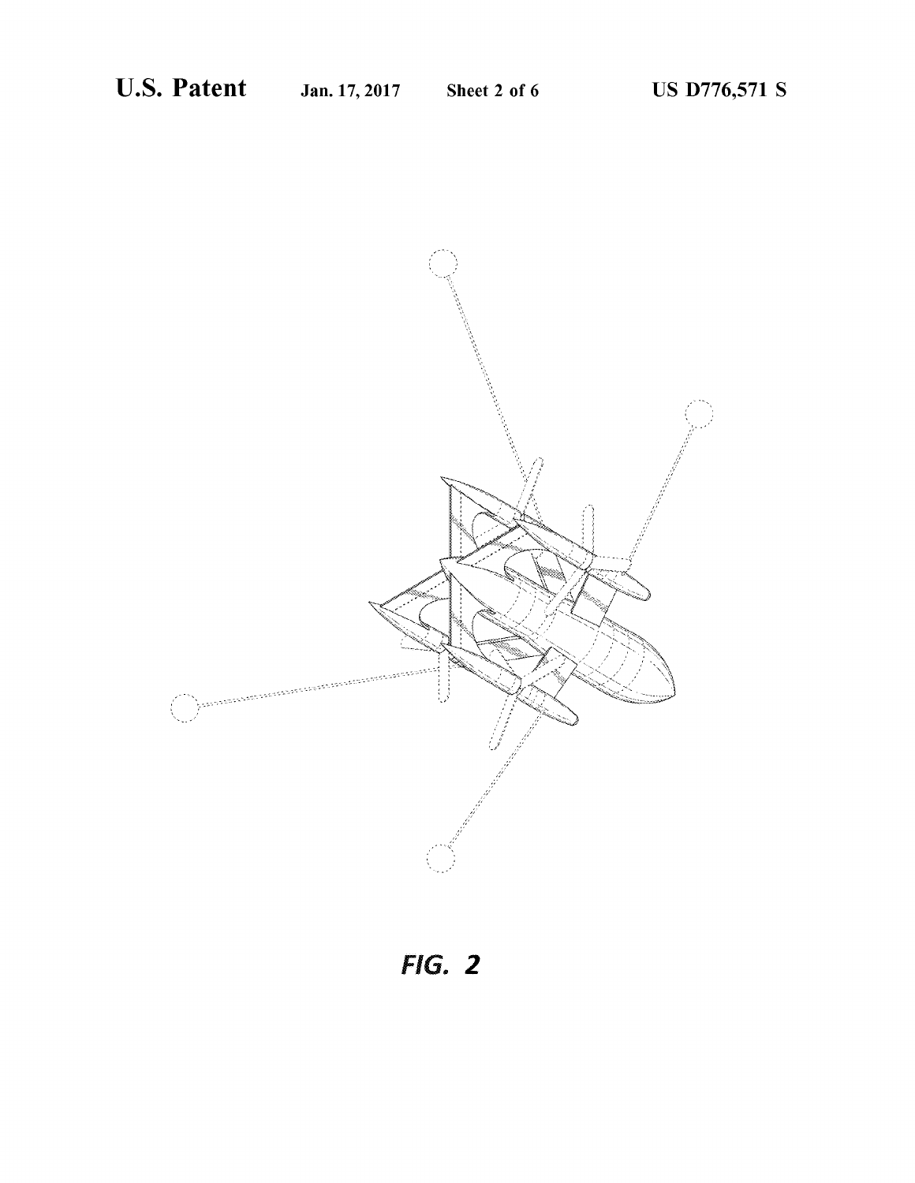

**FIG. 2**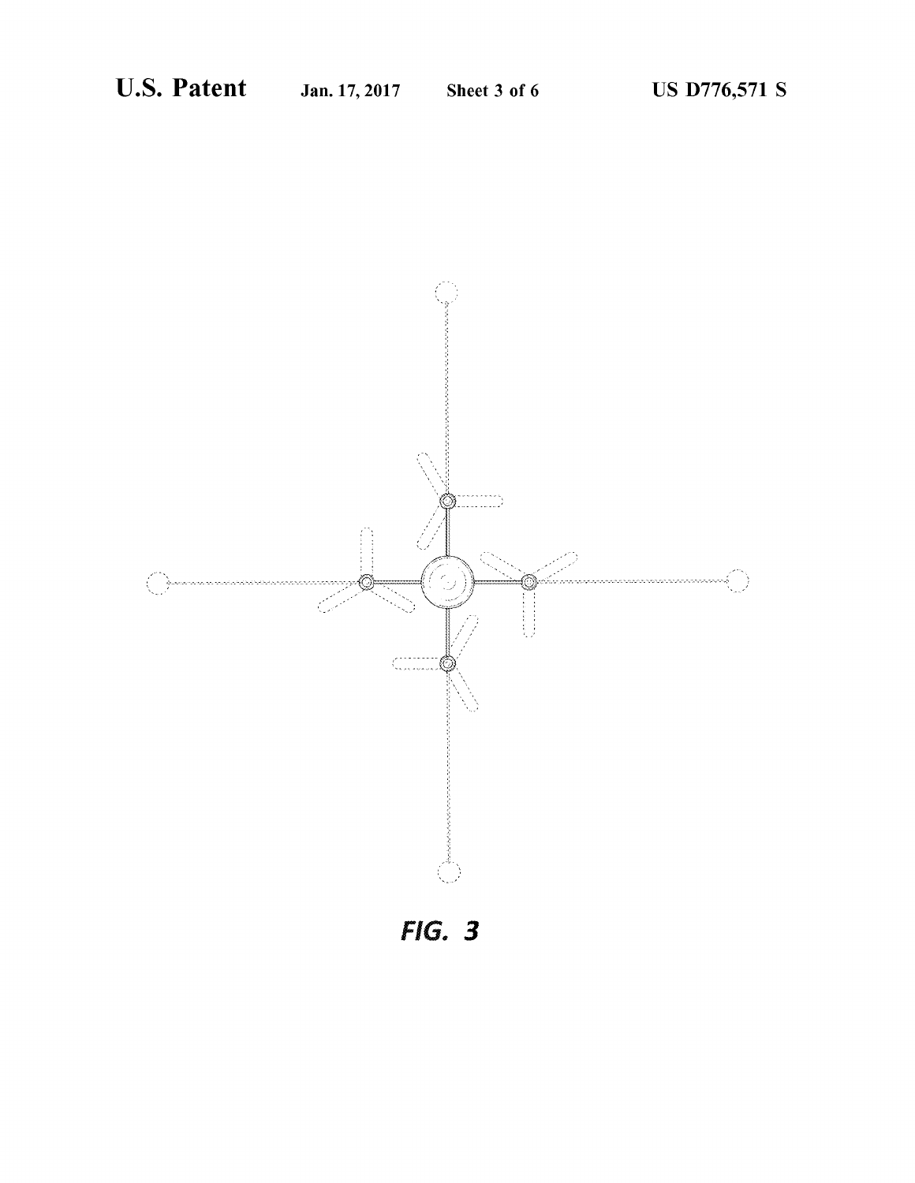

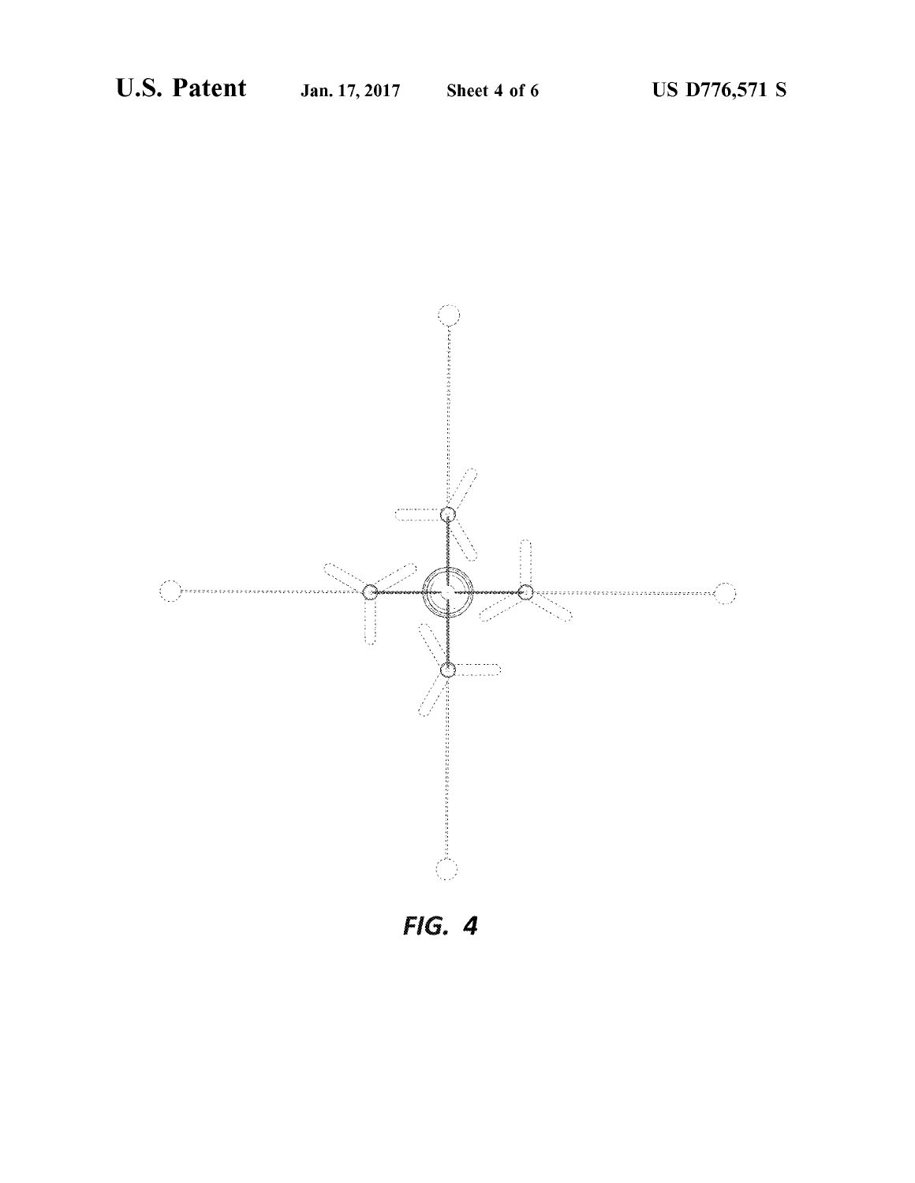

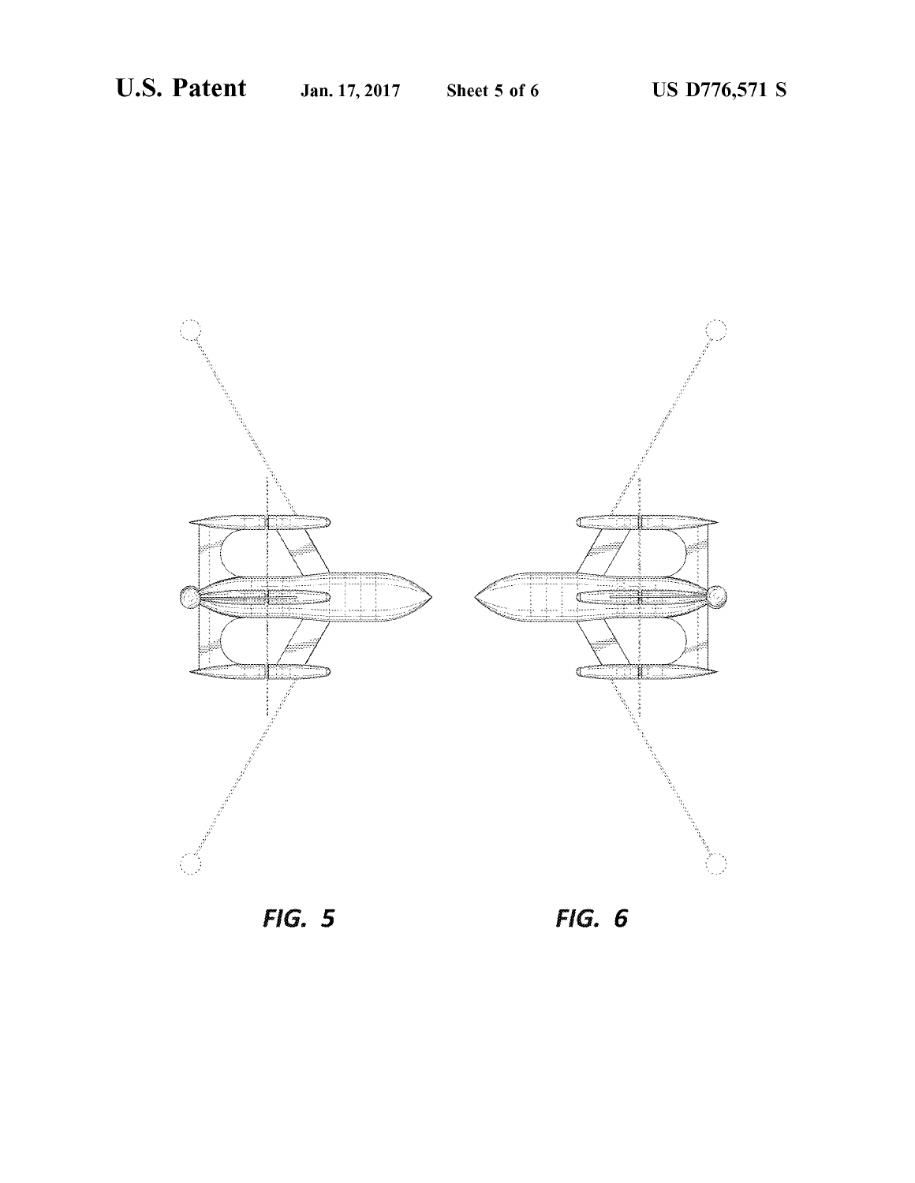